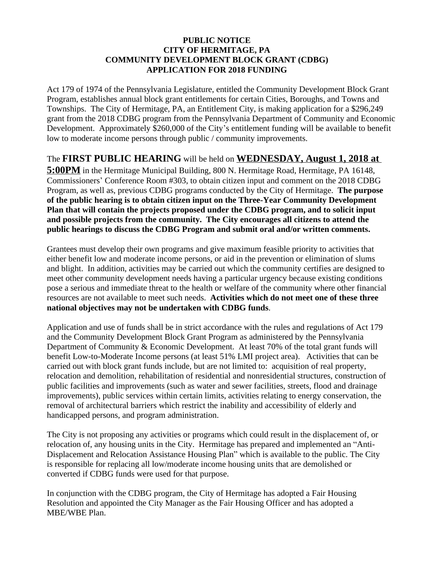## **PUBLIC NOTICE CITY OF HERMITAGE, PA COMMUNITY DEVELOPMENT BLOCK GRANT (CDBG) APPLICATION FOR 2018 FUNDING**

Act 179 of 1974 of the Pennsylvania Legislature, entitled the Community Development Block Grant Program, establishes annual block grant entitlements for certain Cities, Boroughs, and Towns and Townships. The City of Hermitage, PA, an Entitlement City, is making application for a \$296,249 grant from the 2018 CDBG program from the Pennsylvania Department of Community and Economic Development. Approximately \$260,000 of the City's entitlement funding will be available to benefit low to moderate income persons through public / community improvements.

The **FIRST PUBLIC HEARING** will be held on **WEDNESDAY, August 1, 2018 at 5:00PM** in the Hermitage Municipal Building, 800 N. Hermitage Road, Hermitage, PA 16148, Commissioners' Conference Room #303, to obtain citizen input and comment on the 2018 CDBG Program, as well as, previous CDBG programs conducted by the City of Hermitage. **The purpose of the public hearing is to obtain citizen input on the Three-Year Community Development Plan that will contain the projects proposed under the CDBG program, and to solicit input and possible projects from the community. The City encourages all citizens to attend the public hearings to discuss the CDBG Program and submit oral and/or written comments.** 

Grantees must develop their own programs and give maximum feasible priority to activities that either benefit low and moderate income persons, or aid in the prevention or elimination of slums and blight. In addition, activities may be carried out which the community certifies are designed to meet other community development needs having a particular urgency because existing conditions pose a serious and immediate threat to the health or welfare of the community where other financial resources are not available to meet such needs. **Activities which do not meet one of these three national objectives may not be undertaken with CDBG funds**.

Application and use of funds shall be in strict accordance with the rules and regulations of Act 179 and the Community Development Block Grant Program as administered by the Pennsylvania Department of Community & Economic Development. At least 70% of the total grant funds will benefit Low-to-Moderate Income persons (at least 51% LMI project area). Activities that can be carried out with block grant funds include, but are not limited to: acquisition of real property, relocation and demolition, rehabilitation of residential and nonresidential structures, construction of public facilities and improvements (such as water and sewer facilities, streets, flood and drainage improvements), public services within certain limits, activities relating to energy conservation, the removal of architectural barriers which restrict the inability and accessibility of elderly and handicapped persons, and program administration.

The City is not proposing any activities or programs which could result in the displacement of, or relocation of, any housing units in the City. Hermitage has prepared and implemented an "Anti-Displacement and Relocation Assistance Housing Plan" which is available to the public. The City is responsible for replacing all low/moderate income housing units that are demolished or converted if CDBG funds were used for that purpose.

In conjunction with the CDBG program, the City of Hermitage has adopted a Fair Housing Resolution and appointed the City Manager as the Fair Housing Officer and has adopted a MBE/WBE Plan.